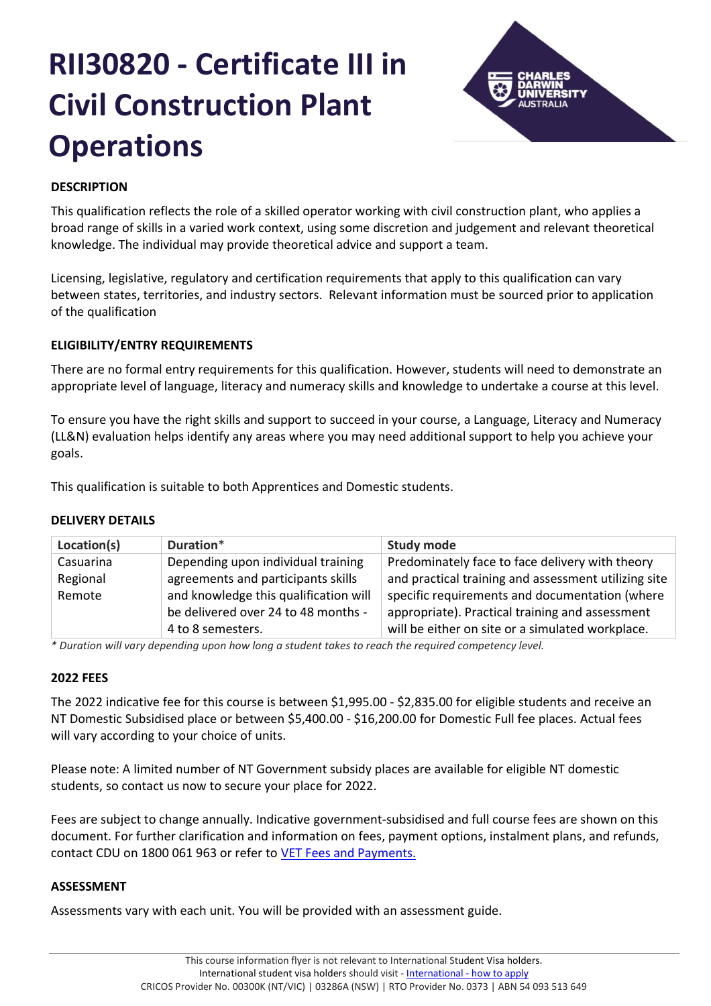# **RII30820 - Certificate III in Civil Construction Plant Operations**



## **DESCRIPTION**

This qualification reflects the role of a skilled operator working with civil construction plant, who applies a broad range of skills in a varied work context, using some discretion and judgement and relevant theoretical knowledge. The individual may provide theoretical advice and support a team.

Licensing, legislative, regulatory and certification requirements that apply to this qualification can vary between states, territories, and industry sectors. Relevant information must be sourced prior to application of the qualification

## **ELIGIBILITY/ENTRY REQUIREMENTS**

There are no formal entry requirements for this qualification. However, students will need to demonstrate an appropriate level of language, literacy and numeracy skills and knowledge to undertake a course at this level.

To ensure you have the right skills and support to succeed in your course, a Language, Literacy and Numeracy (LL&N) evaluation helps identify any areas where you may need additional support to help you achieve your goals.

This qualification is suitable to both Apprentices and Domestic students.

## **DELIVERY DETAILS**

| Location(s) | Duration*                             | <b>Study mode</b>                                    |
|-------------|---------------------------------------|------------------------------------------------------|
| Casuarina   | Depending upon individual training    | Predominately face to face delivery with theory      |
| Regional    | agreements and participants skills    | and practical training and assessment utilizing site |
| Remote      | and knowledge this qualification will | specific requirements and documentation (where       |
|             | be delivered over 24 to 48 months -   | appropriate). Practical training and assessment      |
|             | 4 to 8 semesters.                     | will be either on site or a simulated workplace.     |

*\* Duration will vary depending upon how long a student takes to reach the required competency level.*

## **2022 FEES**

The 2022 indicative fee for this course is between \$1,995.00 - \$2,835.00 for eligible students and receive an NT Domestic Subsidised place or between \$5,400.00 - \$16,200.00 for Domestic Full fee places. Actual fees will vary according to your choice of units.

Please note: A limited number of NT Government subsidy places are available for eligible NT domestic students, so contact us now to secure your place for 2022.

Fees are subject to change annually. Indicative government-subsidised and full course fees are shown on this document. For further clarification and information on fees, payment options, instalment plans, and refunds, contact CDU on 1800 061 963 or refer to [VET Fees and Payments.](https://www.cdu.edu.au/current-students/student-admin/fees-payments)

## **ASSESSMENT**

Assessments vary with each unit. You will be provided with an assessment guide.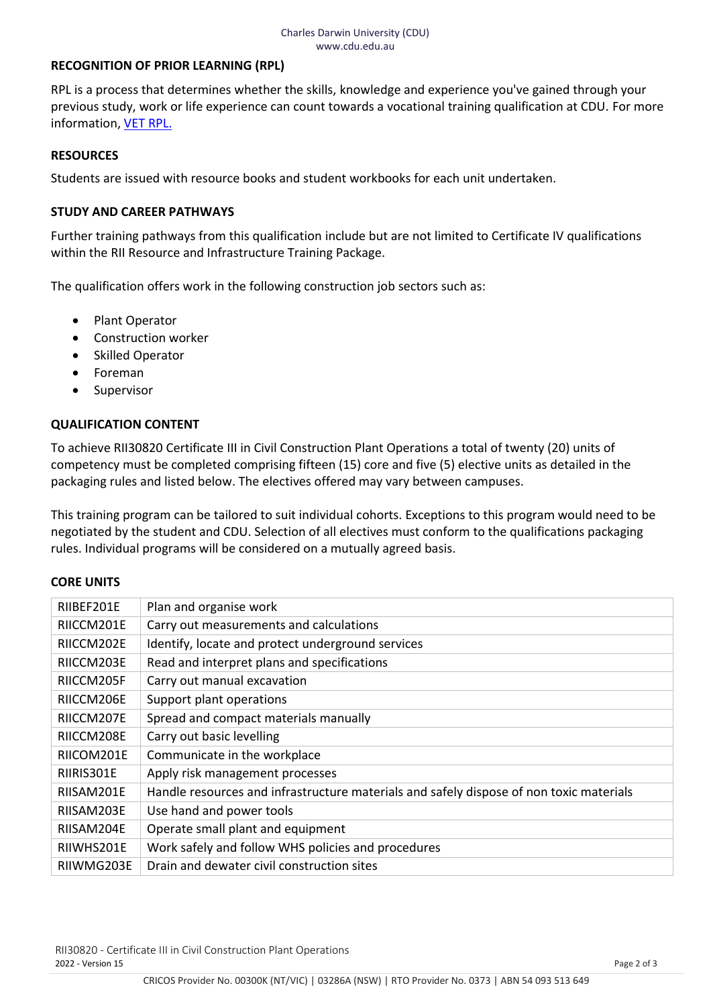## **RECOGNITION OF PRIOR LEARNING (RPL)**

RPL is a process that determines whether the skills, knowledge and experience you've gained through your previous study, work or life experience can count towards a vocational training qualification at CDU. For more information, [VET RPL.](https://www.cdu.edu.au/study/vocational-education-training/rpl)

## **RESOURCES**

Students are issued with resource books and student workbooks for each unit undertaken.

## **STUDY AND CAREER PATHWAYS**

Further training pathways from this qualification include but are not limited to Certificate IV qualifications within the RII Resource and Infrastructure Training Package.

The qualification offers work in the following construction job sectors such as:

- Plant Operator
- Construction worker
- **Skilled Operator**
- Foreman
- Supervisor

## **QUALIFICATION CONTENT**

To achieve RII30820 Certificate III in Civil Construction Plant Operations a total of twenty (20) units of competency must be completed comprising fifteen (15) core and five (5) elective units as detailed in the packaging rules and listed below. The electives offered may vary between campuses.

This training program can be tailored to suit individual cohorts. Exceptions to this program would need to be negotiated by the student and CDU. Selection of all electives must conform to the qualifications packaging rules. Individual programs will be considered on a mutually agreed basis.

#### **CORE UNITS**

| RIIBEF201E | Plan and organise work                                                                  |
|------------|-----------------------------------------------------------------------------------------|
| RIICCM201E | Carry out measurements and calculations                                                 |
| RIICCM202E | Identify, locate and protect underground services                                       |
| RIICCM203E | Read and interpret plans and specifications                                             |
| RIICCM205F | Carry out manual excavation                                                             |
| RIICCM206E | Support plant operations                                                                |
| RIICCM207E | Spread and compact materials manually                                                   |
| RIICCM208E | Carry out basic levelling                                                               |
| RIICOM201E | Communicate in the workplace                                                            |
| RIIRIS301E | Apply risk management processes                                                         |
| RIISAM201E | Handle resources and infrastructure materials and safely dispose of non toxic materials |
| RIISAM203E | Use hand and power tools                                                                |
| RIISAM204E | Operate small plant and equipment                                                       |
| RIIWHS201E | Work safely and follow WHS policies and procedures                                      |
| RIIWMG203E | Drain and dewater civil construction sites                                              |